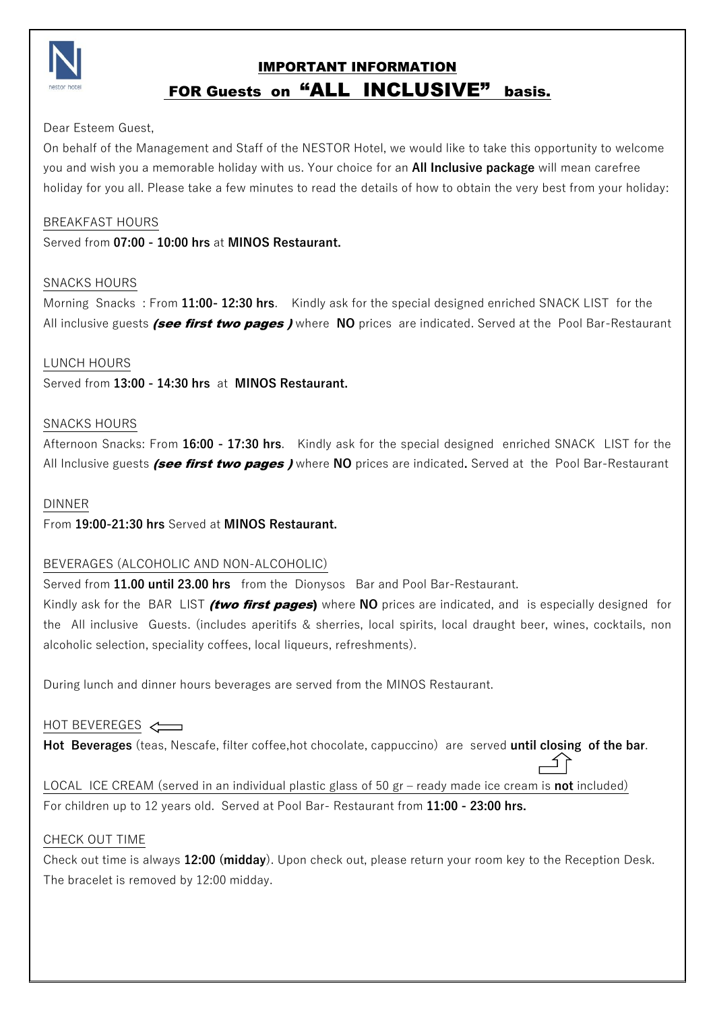

# IMPORTANT INFORMATION FOR Guests on "ALL INCLUSIVE" basis.

## Dear Esteem Guest,

On behalf of the Management and Staff of the NESTOR Hotel, we would like to take this opportunity to welcome you and wish you a memorable holiday with us. Your choice for an **All Inclusive package** will mean carefree holiday for you all. Please take a few minutes to read the details of how to obtain the very best from your holiday:

## BREAKFAST HOURS

Served from **07:00 - 10:00 hrs** at **MINOS Restaurant.**

#### SNACKS HOURS

Morning Snacks : From **11:00- 12:30 hrs**. Kindly ask for the special designed enriched SNACK LIST for the All inclusive guests *(see first two pages )* where **NO** prices are indicated. Served at the Pool Bar-Restaurant

#### LUNCH HOURS

Served from **13:00 - 14:30 hrs** at **MINOS Restaurant.**

## SNACKS HOURS

Afternoon Snacks: From **16:00 - 17:30 hrs**. Kindly ask for the special designed enriched SNACK LIST for the All Inclusive guests (see first two pages ) where **NO** prices are indicated**.** Served at thePool Bar-Restaurant

## DINNER

From **19:00-21:30 hrs** Served at **MINOS Restaurant.**

# BEVERAGES (ALCOHOLIC AND NON-ALCOHOLIC)

Served from **11.00 until 23.00 hrs** from the Dionysos Bar and Pool Bar-Restaurant.

Kindly ask for the BAR LIST *(two first pages*) where NO prices are indicated, and is especially designed for the All inclusive Guests. (includes aperitifs & sherries, local spirits, local draught beer, wines, cocktails, non alcoholic selection, speciality coffees, local liqueurs, refreshments).

During lunch and dinner hours beverages are served from the MINOS Restaurant.

# HOT BEVEREGES

**Hot Beverages** (teas, Nescafe, filter coffee,hot chocolate, cappuccino) are served **until closing of the bar**.

í f

LOCAL ICE CREAM (served in an individual plastic glass of 50 gr – ready made ice cream is **not** included) For children up to 12 years old. Served at Pool Bar- Restaurant from **11:00 - 23:00 hrs.**

#### CHECK OUT TIME

Check out time is always **12:00 (midday**). Upon check out, please return your room key to the Reception Desk. The bracelet is removed by 12:00 midday.